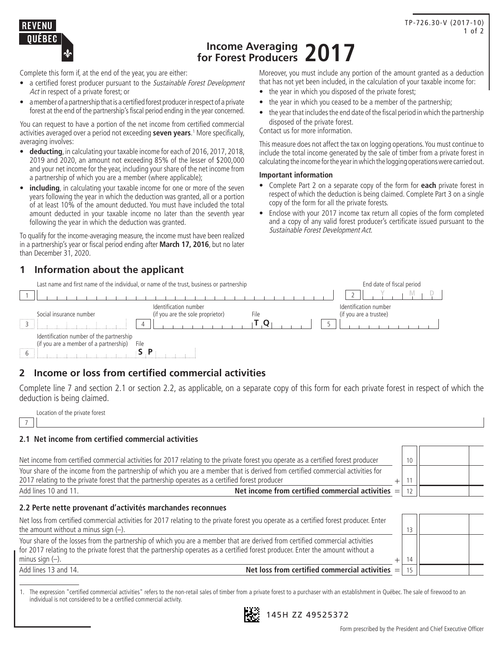

# **Income Averaging for Forest Producers 2017**

Complete this form if, at the end of the year, you are either:

- a certified forest producer pursuant to the Sustainable Forest Development Act in respect of a private forest: or
- a member of a partnership that is a certified forest producer in respect of a private forest at the end of the partnership's fiscal period ending in the year concerned.

You can request to have a portion of the net income from certified commercial activities averaged over a period not exceeding **seven years**. 1 More specifically, averaging involves:

- • **deducting**, in calculating your taxable income for each of 2016, 2017, 2018, 2019 and 2020, an amount not exceeding 85% of the lesser of \$200,000 and your net income for the year, including your share of the net income from a partnership of which you are a member (where applicable);
- **including**, in calculating your taxable income for one or more of the seven years following the year in which the deduction was granted, all or a portion of at least 10% of the amount deducted. You must have included the total amount deducted in your taxable income no later than the seventh year following the year in which the deduction was granted.

To qualify for the income-averaging measure, the income must have been realized in a partnership's year or fiscal period ending after **March 17, 2016**, but no later than December 31, 2020.

## **1 Information about the applicant**

Last name and first name of the individual, or name of the trust, business or partnership End date of fiscal period

Moreover, you must include any portion of the amount granted as a deduction that has not yet been included, in the calculation of your taxable income for:

- the year in which you disposed of the private forest;
- the year in which you ceased to be a member of the partnership;
- the year that includes the end date of the fiscal period in which the partnership disposed of the private forest.

Contact us for more information.

This measure does not affect the tax on logging operations. You must continue to include the total income generated by the sale of timber from a private forest in calculating the income for the year in which the logging operations were carried out.

#### **Important information**

- • Complete Part 2 on a separate copy of the form for **each** private forest in respect of which the deduction is being claimed. Complete Part 3 on a single copy of the form for all the private forests.
- Enclose with your 2017 income tax return all copies of the form completed and a copy of any valid forest producer's certificate issued pursuant to the Sustainable Forest Development Act.

| Last Hallie and hist Hallie of the municial, or hallie of the trust, business or partnership |                                                                   | Ellu date of fiscal period                      |
|----------------------------------------------------------------------------------------------|-------------------------------------------------------------------|-------------------------------------------------|
|                                                                                              |                                                                   |                                                 |
| Social insurance number                                                                      | Identification number<br>(if you are the sole proprietor)<br>File | Identification number<br>(if you are a trustee) |
|                                                                                              |                                                                   |                                                 |
| Identification number of the partnership<br>(if you are a member of a partnership)<br>File   |                                                                   |                                                 |
| .                                                                                            |                                                                   |                                                 |

## **2 Income or loss from certified commercial activities**

Complete line 7 and section 2.1 or section 2.2, as applicable, on a separate copy of this form for each private forest in respect of which the deduction is being claimed.

|   | Location of the private forest |  |  |
|---|--------------------------------|--|--|
| 7 |                                |  |  |

#### **2.1 Net income from certified commercial activities**

| Net income from certified commercial activities for 2017 relating to the private forest you operate as a certified forest producer      | 10 |  |
|-----------------------------------------------------------------------------------------------------------------------------------------|----|--|
| Your share of the income from the partnership of which you are a member that is derived from certified commercial activities for        |    |  |
| 2017 relating to the private forest that the partnership operates as a certified forest producer                                        |    |  |
| Net income from certified commercial activities $=$<br>Add lines 10 and 11.                                                             |    |  |
| 2.2 Perte nette provenant d'activités marchandes reconnues                                                                              |    |  |
| Net loss from certified commercial activities for 2017 relating to the private forest you operate as a certified forest producer. Enter |    |  |

| the amount without a minus sign $(-)$ .                                                                                                                                                                                                                           |        |  |
|-------------------------------------------------------------------------------------------------------------------------------------------------------------------------------------------------------------------------------------------------------------------|--------|--|
| Your share of the losses from the partnership of which you are a member that are derived from certified commercial activities<br>for 2017 relating to the private forest that the partnership operates as a certified forest producer. Enter the amount without a |        |  |
| minus sign $(-)$ .                                                                                                                                                                                                                                                |        |  |
| Net loss from certified commercial activities $=$<br>Add lines 13 and 14.                                                                                                                                                                                         | $15-1$ |  |

1. The expression "certified commercial activities" refers to the non-retail sales of timber from a private forest to a purchaser with an establishment in Québec. The sale of firewood to an individual is not considered to be a certified commercial activity.



145H ZZ 49525372